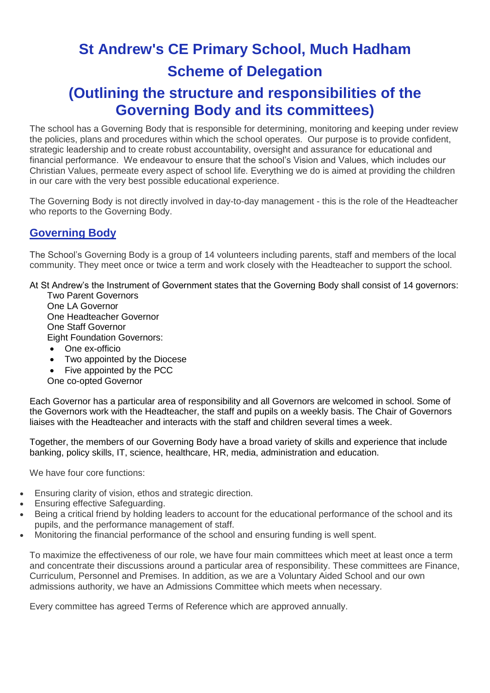# **St Andrew's CE Primary School, Much Hadham Scheme of Delegation**

# **(Outlining the structure and responsibilities of the Governing Body and its committees)**

The school has a Governing Body that is responsible for determining, monitoring and keeping under review the policies, plans and procedures within which the school operates. Our purpose is to provide confident, strategic leadership and to create robust accountability, oversight and assurance for educational and financial performance. We endeavour to ensure that the school's Vision and Values, which includes our Christian Values, permeate every aspect of school life. Everything we do is aimed at providing the children in our care with the very best possible educational experience.

The Governing Body is not directly involved in day-to-day management - this is the role of the Headteacher who reports to the Governing Body.

### **Governing Body**

The School's Governing Body is a group of 14 volunteers including parents, staff and members of the local community. They meet once or twice a term and work closely with the Headteacher to support the school.

At St Andrew's the Instrument of Government states that the Governing Body shall consist of 14 governors:

Two Parent Governors One LA Governor One Headteacher Governor One Staff Governor Eight Foundation Governors:

- One ex-officio
- Two appointed by the Diocese

Five appointed by the PCC

One co-opted Governor

Each Governor has a particular area of responsibility and all Governors are welcomed in school. Some of the Governors work with the Headteacher, the staff and pupils on a weekly basis. The Chair of Governors liaises with the Headteacher and interacts with the staff and children several times a week.

Together, the members of our Governing Body have a broad variety of skills and experience that include banking, policy skills, IT, science, healthcare, HR, media, administration and education.

We have four core functions:

- Ensuring clarity of vision, ethos and strategic direction.
- Ensuring effective Safeguarding.
- Being a critical friend by holding leaders to account for the educational performance of the school and its pupils, and the performance management of staff.
- Monitoring the financial performance of the school and ensuring funding is well spent.

To maximize the effectiveness of our role, we have four main committees which meet at least once a term and concentrate their discussions around a particular area of responsibility. These committees are Finance, Curriculum, Personnel and Premises. In addition, as we are a Voluntary Aided School and our own admissions authority, we have an Admissions Committee which meets when necessary.

Every committee has agreed Terms of Reference which are approved annually.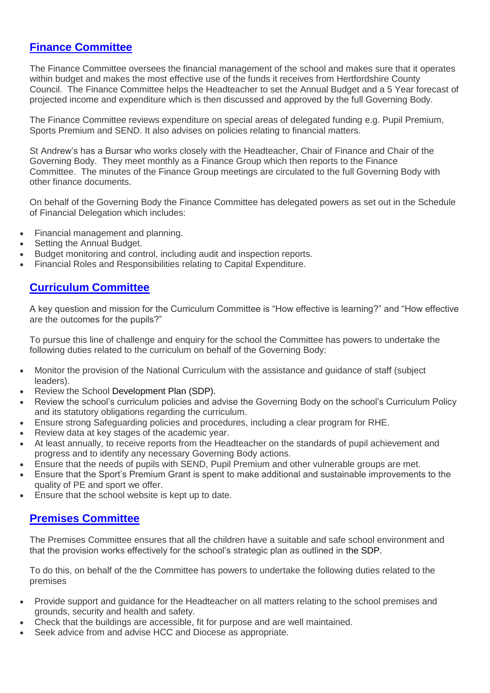#### **[Finance Committee](http://www.stokeholycross.co.uk/all-about-us/governors/finance-committee/)**

The Finance Committee oversees the financial management of the school and makes sure that it operates within budget and makes the most effective use of the funds it receives from Hertfordshire County Council. The Finance Committee helps the Headteacher to set the Annual Budget and a 5 Year forecast of projected income and expenditure which is then discussed and approved by the full Governing Body.

The Finance Committee reviews expenditure on special areas of delegated funding e.g. Pupil Premium, Sports Premium and SEND. It also advises on policies relating to financial matters.

St Andrew's has a Bursar who works closely with the Headteacher, Chair of Finance and Chair of the Governing Body. They meet monthly as a Finance Group which then reports to the Finance Committee. The minutes of the Finance Group meetings are circulated to the full Governing Body with other finance documents.

On behalf of the Governing Body the Finance Committee has delegated powers as set out in the Schedule of Financial Delegation which includes:

- Financial management and planning.
- Setting the Annual Budget.
- Budget monitoring and control, including audit and inspection reports.
- Financial Roles and Responsibilities relating to Capital Expenditure.

#### **[Curriculum Committee](http://www.stokeholycross.co.uk/all-about-us/governors/curriculum-committee/)**

A key question and mission for the Curriculum Committee is "How effective is learning?" and "How effective are the outcomes for the pupils?"

To pursue this line of challenge and enquiry for the school the Committee has powers to undertake the following duties related to the curriculum on behalf of the Governing Body:

- Monitor the provision of the National Curriculum with the assistance and guidance of staff (subject leaders).
- Review the School Development Plan (SDP).
- Review the school's curriculum policies and advise the Governing Body on the school's Curriculum Policy and its statutory obligations regarding the curriculum.
- Ensure strong Safeguarding policies and procedures, including a clear program for RHE.
- Review data at key stages of the academic year.
- At least annually, to receive reports from the Headteacher on the standards of pupil achievement and progress and to identify any necessary Governing Body actions.
- Ensure that the needs of pupils with SEND, Pupil Premium and other vulnerable groups are met.
- Ensure that the Sport's Premium Grant is spent to make additional and sustainable improvements to the quality of PE and sport we offer.
- Ensure that the school website is kept up to date.

#### **[Premises Committee](http://www.stokeholycross.co.uk/all-about-us/governors/premises-committee/)**

The Premises Committee ensures that all the children have a suitable and safe school environment and that the provision works effectively for the school's strategic plan as outlined in the SDP.

To do this, on behalf of the the Committee has powers to undertake the following duties related to the premises

- Provide support and guidance for the Headteacher on all matters relating to the school premises and grounds, security and health and safety.
- Check that the buildings are accessible, fit for purpose and are well maintained.
- Seek advice from and advise HCC and Diocese as appropriate.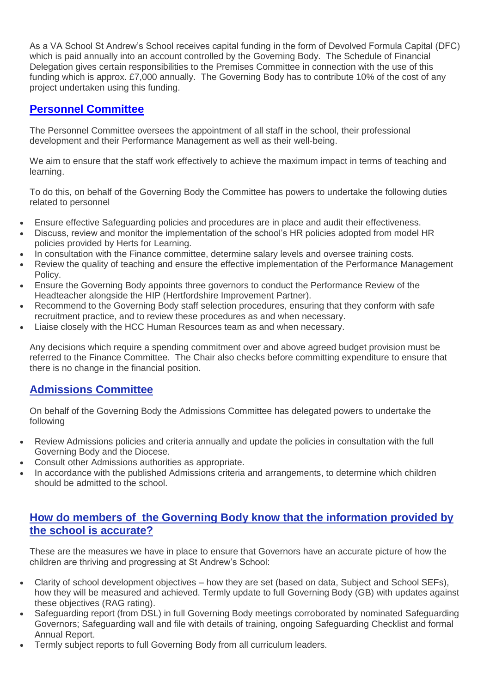As a VA School St Andrew's School receives capital funding in the form of Devolved Formula Capital (DFC) which is paid annually into an account controlled by the Governing Body. The Schedule of Financial Delegation gives certain responsibilities to the Premises Committee in connection with the use of this funding which is approx. £7,000 annually. The Governing Body has to contribute 10% of the cost of any project undertaken using this funding.

## **[Personnel Committee](http://www.stokeholycross.co.uk/all-about-us/governors/personnel-committee/)**

The Personnel Committee oversees the appointment of all staff in the school, their professional development and their Performance Management as well as their well-being.

We aim to ensure that the staff work effectively to achieve the maximum impact in terms of teaching and learning.

To do this, on behalf of the Governing Body the Committee has powers to undertake the following duties related to personnel

- Ensure effective Safeguarding policies and procedures are in place and audit their effectiveness.
- Discuss, review and monitor the implementation of the school's HR policies adopted from model HR policies provided by Herts for Learning.
- In consultation with the Finance committee, determine salary levels and oversee training costs.
- Review the quality of teaching and ensure the effective implementation of the Performance Management Policy.
- Ensure the Governing Body appoints three governors to conduct the Performance Review of the Headteacher alongside the HIP (Hertfordshire Improvement Partner).
- Recommend to the Governing Body staff selection procedures, ensuring that they conform with safe recruitment practice, and to review these procedures as and when necessary.
- Liaise closely with the HCC Human Resources team as and when necessary.

Any decisions which require a spending commitment over and above agreed budget provision must be referred to the Finance Committee. The Chair also checks before committing expenditure to ensure that there is no change in the financial position.

#### **Admissions Committee**

On behalf of the Governing Body the Admissions Committee has delegated powers to undertake the following

- Review Admissions policies and criteria annually and update the policies in consultation with the full Governing Body and the Diocese.
- Consult other Admissions authorities as appropriate.
- In accordance with the published Admissions criteria and arrangements, to determine which children should be admitted to the school.

#### **How do members of the Governing Body know that the information provided by the school is accurate?**

These are the measures we have in place to ensure that Governors have an accurate picture of how the children are thriving and progressing at St Andrew's School:

- Clarity of school development objectives how they are set (based on data, Subject and School SEFs), how they will be measured and achieved. Termly update to full Governing Body (GB) with updates against these objectives (RAG rating).
- Safeguarding report (from DSL) in full Governing Body meetings corroborated by nominated Safeguarding Governors; Safeguarding wall and file with details of training, ongoing Safeguarding Checklist and formal Annual Report.
- Termly subject reports to full Governing Body from all curriculum leaders.